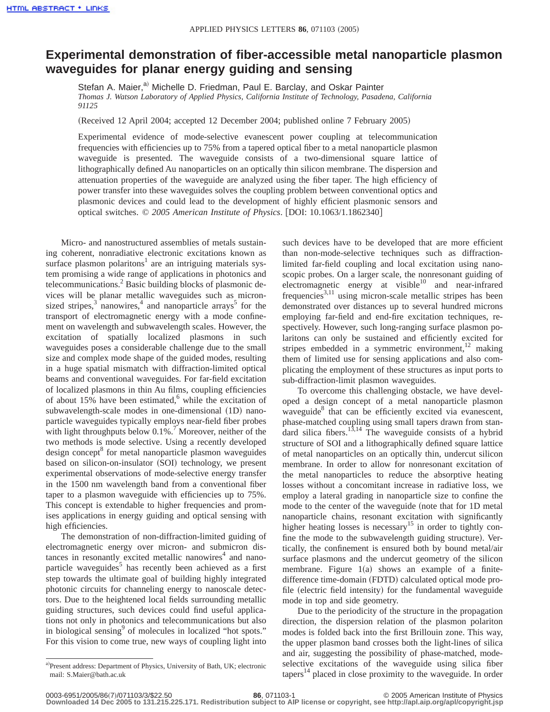## **Experimental demonstration of fiber-accessible metal nanoparticle plasmon waveguides for planar energy guiding and sensing**

Stefan A. Maier,<sup>a)</sup> Michelle D. Friedman, Paul E. Barclay, and Oskar Painter *Thomas J. Watson Laboratory of Applied Physics, California Institute of Technology, Pasadena, California 91125*

 $(Received 12 April 2004; accepted 12 December 2004; published online 7 February 2005)$ 

Experimental evidence of mode-selective evanescent power coupling at telecommunication frequencies with efficiencies up to 75% from a tapered optical fiber to a metal nanoparticle plasmon waveguide is presented. The waveguide consists of a two-dimensional square lattice of lithographically defined Au nanoparticles on an optically thin silicon membrane. The dispersion and attenuation properties of the waveguide are analyzed using the fiber taper. The high efficiency of power transfer into these waveguides solves the coupling problem between conventional optics and plasmonic devices and could lead to the development of highly efficient plasmonic sensors and optical switches. © 2005 American Institute of Physics. [DOI: 10.1063/1.1862340]

Micro- and nanostructured assemblies of metals sustaining coherent, nonradiative electronic excitations known as surface plasmon polaritons<sup>1</sup> are an intriguing materials system promising a wide range of applications in photonics and telecommunications.<sup>2</sup> Basic building blocks of plasmonic devices will be planar metallic waveguides such as micronsized stripes, $3$  nanowires, $4$  and nanoparticle arrays<sup>5</sup> for the transport of electromagnetic energy with a mode confinement on wavelength and subwavelength scales. However, the excitation of spatially localized plasmons in such waveguides poses a considerable challenge due to the small size and complex mode shape of the guided modes, resulting in a huge spatial mismatch with diffraction-limited optical beams and conventional waveguides. For far-field excitation of localized plasmons in thin Au films, coupling efficiencies of about 15% have been estimated, $6$  while the excitation of subwavelength-scale modes in one-dimensional (1D) nanoparticle waveguides typically employs near-field fiber probes with light throughputs below  $0.1\%$ .<sup>7</sup> Moreover, neither of the two methods is mode selective. Using a recently developed design concept<sup>8</sup> for metal nanoparticle plasmon waveguides based on silicon-on-insulator (SOI) technology, we present experimental observations of mode-selective energy transfer in the 1500 nm wavelength band from a conventional fiber taper to a plasmon waveguide with efficiencies up to 75%. This concept is extendable to higher frequencies and promises applications in energy guiding and optical sensing with high efficiencies.

The demonstration of non-diffraction-limited guiding of electromagnetic energy over micron- and submicron distances in resonantly excited metallic nanowires<sup>4</sup> and nanoparticle waveguides<sup>5</sup> has recently been achieved as a first step towards the ultimate goal of building highly integrated photonic circuits for channeling energy to nanoscale detectors. Due to the heightened local fields surrounding metallic guiding structures, such devices could find useful applications not only in photonics and telecommunications but also in biological sensing<sup>9</sup> of molecules in localized "hot spots." For this vision to come true, new ways of coupling light into

a)Present address: Department of Physics, University of Bath, UK; electronic mail: S.Maier@bath.ac.uk

such devices have to be developed that are more efficient than non-mode-selective techniques such as diffractionlimited far-field coupling and local excitation using nanoscopic probes. On a larger scale, the nonresonant guiding of electromagnetic energy at visible $10$  and near-infrared frequencies<sup>3,11</sup> using micron-scale metallic stripes has been demonstrated over distances up to several hundred microns employing far-field and end-fire excitation techniques, respectively. However, such long-ranging surface plasmon polaritons can only be sustained and efficiently excited for stripes embedded in a symmetric environment,  $12$  making them of limited use for sensing applications and also complicating the employment of these structures as input ports to sub-diffraction-limit plasmon waveguides.

To overcome this challenging obstacle, we have developed a design concept of a metal nanoparticle plasmon waveguide<sup>8</sup> that can be efficiently excited via evanescent, phase-matched coupling using small tapers drawn from standard silica fibers.<sup>13,14</sup> The waveguide consists of a hybrid structure of SOI and a lithographically defined square lattice of metal nanoparticles on an optically thin, undercut silicon membrane. In order to allow for nonresonant excitation of the metal nanoparticles to reduce the absorptive heating losses without a concomitant increase in radiative loss, we employ a lateral grading in nanoparticle size to confine the mode to the center of the waveguide (note that for 1D metal nanoparticle chains, resonant excitation with significantly higher heating losses is necessary<sup>15</sup> in order to tightly confine the mode to the subwavelength guiding structure). Vertically, the confinement is ensured both by bound metal/air surface plasmons and the undercut geometry of the silicon membrane. Figure  $1(a)$  shows an example of a finitedifference time-domain (FDTD) calculated optical mode profile (electric field intensity) for the fundamental waveguide mode in top and side geometry.

Due to the periodicity of the structure in the propagation direction, the dispersion relation of the plasmon polariton modes is folded back into the first Brillouin zone. This way, the upper plasmon band crosses both the light-lines of silica and air, suggesting the possibility of phase-matched, modeselective excitations of the waveguide using silica fiber tapers $14$  placed in close proximity to the waveguide. In order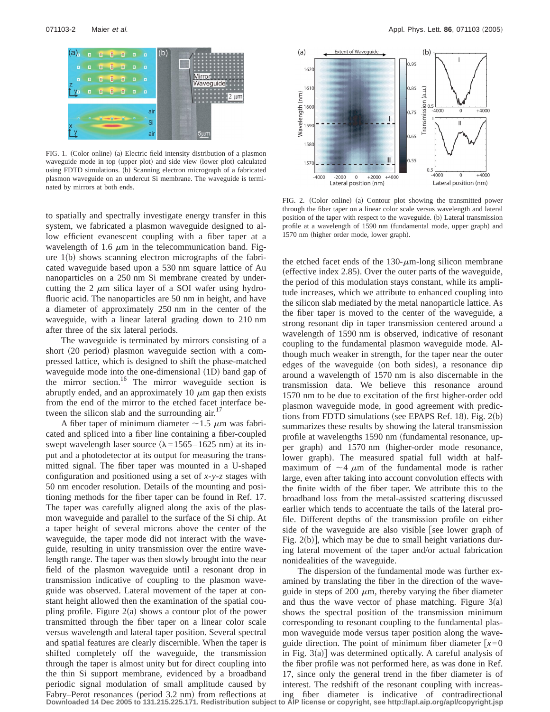FIG. 1. (Color online) (a) Electric field intensity distribution of a plasmon waveguide mode in top (upper plot) and side view (lower plot) calculated using FDTD simulations. (b) Scanning electron micrograph of a fabricated plasmon waveguide on an undercut Si membrane. The waveguide is terminated by mirrors at both ends.

to spatially and spectrally investigate energy transfer in this system, we fabricated a plasmon waveguide designed to allow efficient evanescent coupling with a fiber taper at a wavelength of 1.6  $\mu$ m in the telecommunication band. Figure  $1(b)$  shows scanning electron micrographs of the fabricated waveguide based upon a 530 nm square lattice of Au nanoparticles on a 250 nm Si membrane created by undercutting the 2  $\mu$ m silica layer of a SOI wafer using hydrofluoric acid. The nanoparticles are 50 nm in height, and have a diameter of approximately 250 nm in the center of the waveguide, with a linear lateral grading down to 210 nm after three of the six lateral periods.

The waveguide is terminated by mirrors consisting of a short (20 period) plasmon waveguide section with a compressed lattice, which is designed to shift the phase-matched waveguide mode into the one-dimensional  $(1D)$  band gap of the mirror section.<sup>16</sup> The mirror waveguide section is abruptly ended, and an approximately 10  $\mu$ m gap then exists from the end of the mirror to the etched facet interface between the silicon slab and the surrounding  $air<sup>17</sup>$ 

A fiber taper of minimum diameter  $\sim$  1.5  $\mu$ m was fabricated and spliced into a fiber line containing a fiber-coupled swept wavelength laser source ( $\lambda$ =1565–1625 nm) at its input and a photodetector at its output for measuring the transmitted signal. The fiber taper was mounted in a U-shaped configuration and positioned using a set of *x*-*y*-*z* stages with 50 nm encoder resolution. Details of the mounting and positioning methods for the fiber taper can be found in Ref. 17. The taper was carefully aligned along the axis of the plasmon waveguide and parallel to the surface of the Si chip. At a taper height of several microns above the center of the waveguide, the taper mode did not interact with the waveguide, resulting in unity transmission over the entire wavelength range. The taper was then slowly brought into the near field of the plasmon waveguide until a resonant drop in transmission indicative of coupling to the plasmon waveguide was observed. Lateral movement of the taper at constant height allowed then the examination of the spatial coupling profile. Figure  $2(a)$  shows a contour plot of the power transmitted through the fiber taper on a linear color scale versus wavelength and lateral taper position. Several spectral and spatial features are clearly discernible. When the taper is shifted completely off the waveguide, the transmission through the taper is almost unity but for direct coupling into the thin Si support membrane, evidenced by a broadband periodic signal modulation of small amplitude caused by Fabry–Perot resonances (period 3.2 nm) from reflections at **Downloaded 14 Dec 2005 to 131.215.225.171. Redistribution subject to AIP license or copyright, see http://apl.aip.org/apl/copyright.jsp**



FIG. 2. (Color online) (a) Contour plot showing the transmitted power through the fiber taper on a linear color scale versus wavelength and lateral position of the taper with respect to the waveguide. (b) Lateral transmission profile at a wavelength of 1590 nm (fundamental mode, upper graph) and 1570 nm (higher order mode, lower graph).

the etched facet ends of the  $130$ - $\mu$ m-long silicon membrane (effective index  $2.85$ ). Over the outer parts of the waveguide, the period of this modulation stays constant, while its amplitude increases, which we attribute to enhanced coupling into the silicon slab mediated by the metal nanoparticle lattice. As the fiber taper is moved to the center of the waveguide, a strong resonant dip in taper transmission centered around a wavelength of 1590 nm is observed, indicative of resonant coupling to the fundamental plasmon waveguide mode. Although much weaker in strength, for the taper near the outer edges of the waveguide (on both sides), a resonance dip around a wavelength of 1570 nm is also discernable in the transmission data. We believe this resonance around 1570 nm to be due to excitation of the first higher-order odd plasmon waveguide mode, in good agreement with predictions from FDTD simulations (see EPAPS Ref. 18). Fig.  $2(b)$ summarizes these results by showing the lateral transmission profile at wavelengths 1590 nm (fundamental resonance, upper graph) and 1570 nm (higher-order mode resonance, lower graph). The measured spatial full width at halfmaximum of  $\sim$ 4  $\mu$ m of the fundamental mode is rather large, even after taking into account convolution effects with the finite width of the fiber taper. We attribute this to the broadband loss from the metal-assisted scattering discussed earlier which tends to accentuate the tails of the lateral profile. Different depths of the transmission profile on either side of the waveguide are also visible [see lower graph of Fig.  $2(b)$ , which may be due to small height variations during lateral movement of the taper and/or actual fabrication nonidealities of the waveguide.

The dispersion of the fundamental mode was further examined by translating the fiber in the direction of the waveguide in steps of 200  $\mu$ m, thereby varying the fiber diameter and thus the wave vector of phase matching. Figure  $3(a)$ shows the spectral position of the transmission minimum corresponding to resonant coupling to the fundamental plasmon waveguide mode versus taper position along the waveguide direction. The point of minimum fiber diameter  $[x=0]$ in Fig.  $3(a)$ ] was determined optically. A careful analysis of the fiber profile was not performed here, as was done in Ref. 17, since only the general trend in the fiber diameter is of interest. The redshift of the resonant coupling with increasing fiber diameter is indicative of contradirectional